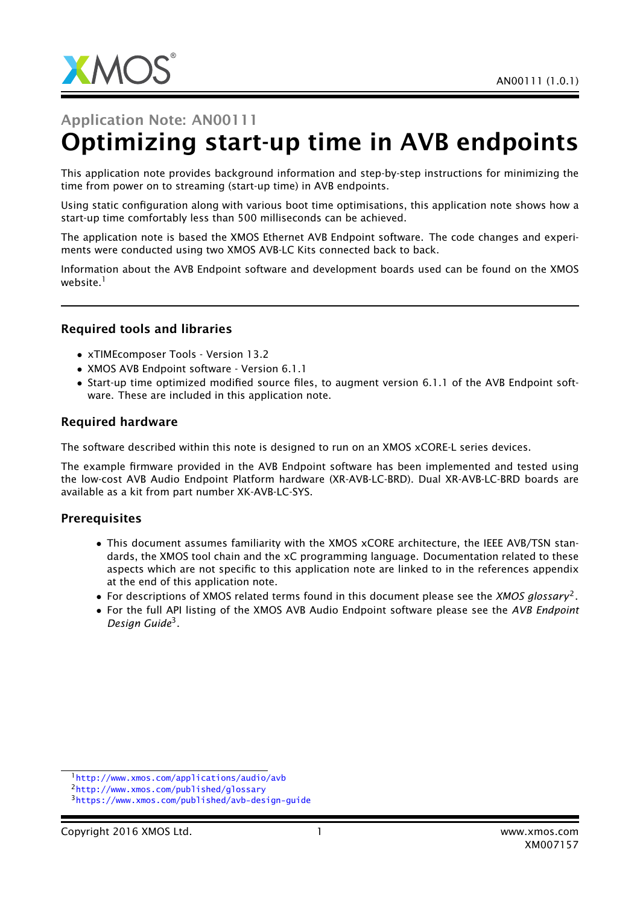

# Application Note: AN00111 Optimizing start-up time in AVB endpoints

This application note provides background information and step-by-step instructions for minimizing the time from power on to streaming (start-up time) in AVB endpoints.

Using static configuration along with various boot time optimisations, this application note shows how a start-up time comfortably less than 500 milliseconds can be achieved.

The application note is based the XMOS Ethernet AVB Endpoint software. The code changes and experiments were conducted using two XMOS AVB-LC Kits connected back to back.

Information about the AVB Endpoint software and development boards used can be found on the XMOS website.<sup>1</sup>

#### Required tools and libraries

- xTIMEcomposer Tools Version 13.2
- XMOS AVB Endpoint software Version 6.1.1
- Start-up time optimized modified source files, to augment version 6.1.1 of the AVB Endpoint software. These are included in this application note.

#### Required hardware

The software described within this note is designed to run on an XMOS xCORE-L series devices.

The example firmware provided in the AVB Endpoint software has been implemented and tested using the low-cost AVB Audio Endpoint Platform hardware (XR-AVB-LC-BRD). Dual XR-AVB-LC-BRD boards are available as a kit from part number XK-AVB-LC-SYS.

#### **Prerequisites**

- This document assumes familiarity with the XMOS xCORE architecture, the IEEE AVB/TSN standards, the XMOS tool chain and the xC programming language. Documentation related to these aspects which are not specific to this application note are linked to in the references appendix at the end of this application note.
- For descriptions of XMOS related terms found in this document please see the *XMOS glossary*<sup>2</sup> .
- For the full API listing of the XMOS AVB Audio Endpoint software please see the *AVB Endpoint Design Guide*<sup>3</sup> .

<sup>1</sup><http://www.xmos.com/applications/audio/avb>

<sup>2</sup><http://www.xmos.com/published/glossary>

<sup>3</sup><https://www.xmos.com/published/avb-design-guide>